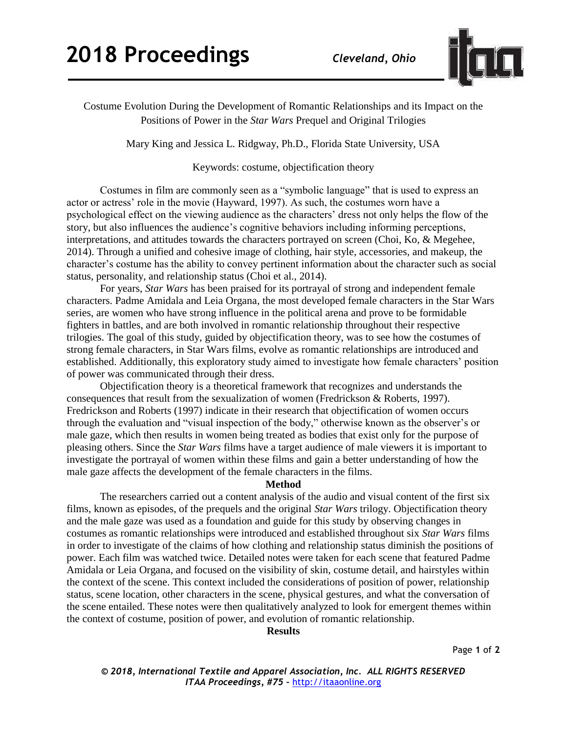

Costume Evolution During the Development of Romantic Relationships and its Impact on the Positions of Power in the *Star Wars* Prequel and Original Trilogies

Mary King and Jessica L. Ridgway, Ph.D., Florida State University, USA

Keywords: costume, objectification theory

Costumes in film are commonly seen as a "symbolic language" that is used to express an actor or actress' role in the movie (Hayward, 1997). As such, the costumes worn have a psychological effect on the viewing audience as the characters' dress not only helps the flow of the story, but also influences the audience's cognitive behaviors including informing perceptions, interpretations, and attitudes towards the characters portrayed on screen (Choi, Ko, & Megehee, 2014). Through a unified and cohesive image of clothing, hair style, accessories, and makeup, the character's costume has the ability to convey pertinent information about the character such as social status, personality, and relationship status (Choi et al., 2014).

For years, *Star Wars* has been praised for its portrayal of strong and independent female characters. Padme Amidala and Leia Organa, the most developed female characters in the Star Wars series, are women who have strong influence in the political arena and prove to be formidable fighters in battles, and are both involved in romantic relationship throughout their respective trilogies. The goal of this study, guided by objectification theory, was to see how the costumes of strong female characters, in Star Wars films, evolve as romantic relationships are introduced and established. Additionally, this exploratory study aimed to investigate how female characters' position of power was communicated through their dress.

Objectification theory is a theoretical framework that recognizes and understands the consequences that result from the sexualization of women (Fredrickson & Roberts, 1997). Fredrickson and Roberts (1997) indicate in their research that objectification of women occurs through the evaluation and "visual inspection of the body," otherwise known as the observer's or male gaze, which then results in women being treated as bodies that exist only for the purpose of pleasing others. Since the *Star Wars* films have a target audience of male viewers it is important to investigate the portrayal of women within these films and gain a better understanding of how the male gaze affects the development of the female characters in the films.

## **Method**

The researchers carried out a content analysis of the audio and visual content of the first six films, known as episodes, of the prequels and the original *Star Wars* trilogy. Objectification theory and the male gaze was used as a foundation and guide for this study by observing changes in costumes as romantic relationships were introduced and established throughout six *Star Wars* films in order to investigate of the claims of how clothing and relationship status diminish the positions of power. Each film was watched twice. Detailed notes were taken for each scene that featured Padme Amidala or Leia Organa, and focused on the visibility of skin, costume detail, and hairstyles within the context of the scene. This context included the considerations of position of power, relationship status, scene location, other characters in the scene, physical gestures, and what the conversation of the scene entailed. These notes were then qualitatively analyzed to look for emergent themes within the context of costume, position of power, and evolution of romantic relationship.

**Results**

*© 2018, International Textile and Apparel Association, Inc. ALL RIGHTS RESERVED ITAA Proceedings, #75 –* [http://itaaonline.org](http://itaaonline.org/)